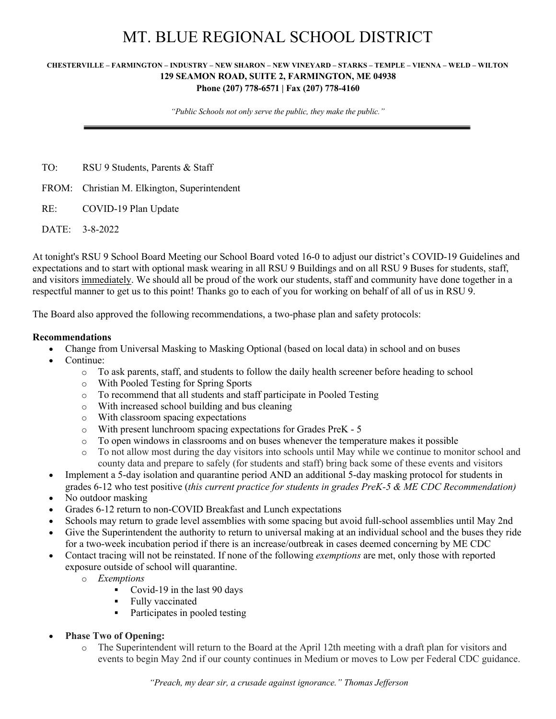## MT. BLUE REGIONAL SCHOOL DISTRICT

## **CHESTERVILLE – FARMINGTON – INDUSTRY – NEW SHARON – NEW VINEYARD – STARKS – TEMPLE – VIENNA – WELD – WILTON 129 SEAMON ROAD, SUITE 2, FARMINGTON, ME 04938 Phone (207) 778-6571 | Fax (207) 778-4160**

*"Public Schools not only serve the public, they make the public."*

TO: RSU 9 Students, Parents & Staff

FROM: Christian M. Elkington, Superintendent

RE: COVID-19 Plan Update

DATE: 3-8-2022

At tonight's RSU 9 School Board Meeting our School Board voted 16-0 to adjust our district's COVID-19 Guidelines and expectations and to start with optional mask wearing in all RSU 9 Buildings and on all RSU 9 Buses for students, staff, and visitors immediately. We should all be proud of the work our students, staff and community have done together in a respectful manner to get us to this point! Thanks go to each of you for working on behalf of all of us in RSU 9.

The Board also approved the following recommendations, a two-phase plan and safety protocols:

## **Recommendations**

- Change from Universal Masking to Masking Optional (based on local data) in school and on buses
- Continue:
	- o To ask parents, staff, and students to follow the daily health screener before heading to school
	- o With Pooled Testing for Spring Sports
	- o To recommend that all students and staff participate in Pooled Testing
	- o With increased school building and bus cleaning
	- o With classroom spacing expectations
	- o With present lunchroom spacing expectations for Grades PreK 5
	- $\circ$  To open windows in classrooms and on buses whenever the temperature makes it possible
	- o To not allow most during the day visitors into schools until May while we continue to monitor school and county data and prepare to safely (for students and staff) bring back some of these events and visitors
- Implement a 5-day isolation and quarantine period AND an additional 5-day masking protocol for students in grades 6-12 who test positive (*this current practice for students in grades PreK-5 & ME CDC Recommendation)*
- No outdoor masking
- Grades 6-12 return to non-COVID Breakfast and Lunch expectations
- Schools may return to grade level assemblies with some spacing but avoid full-school assemblies until May 2nd
- Give the Superintendent the authority to return to universal making at an individual school and the buses they ride for a two-week incubation period if there is an increase/outbreak in cases deemed concerning by ME CDC
- Contact tracing will not be reinstated. If none of the following *exemptions* are met, only those with reported exposure outside of school will quarantine.
	- o *Exemptions*
		- Covid-19 in the last 90 days
		- § Fully vaccinated
		- Participates in pooled testing
- **Phase Two of Opening:**
	- o The Superintendent will return to the Board at the April 12th meeting with a draft plan for visitors and events to begin May 2nd if our county continues in Medium or moves to Low per Federal CDC guidance.